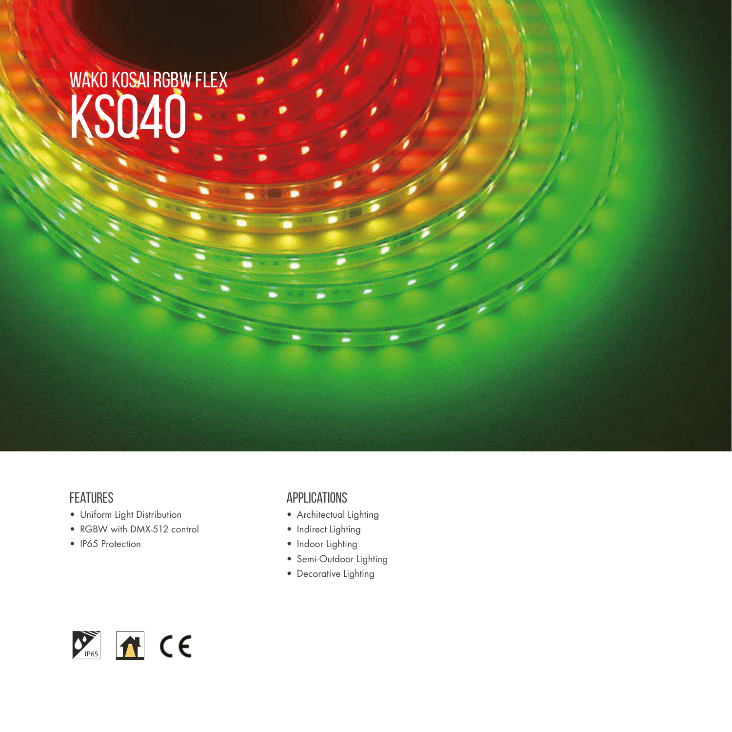# WAKO KOSAI RGBW FLEX WAKU KUSAI RUBW

#### **FEATURES**

- Uniform Light Distribution
- RGBW with DMX-512 control
- IP65 Protection

#### Applications

- Architectual Lighting
- Indirect Lighting
- Indoor Lighting
- Semi-Outdoor Lighting
- Decorative Lighting

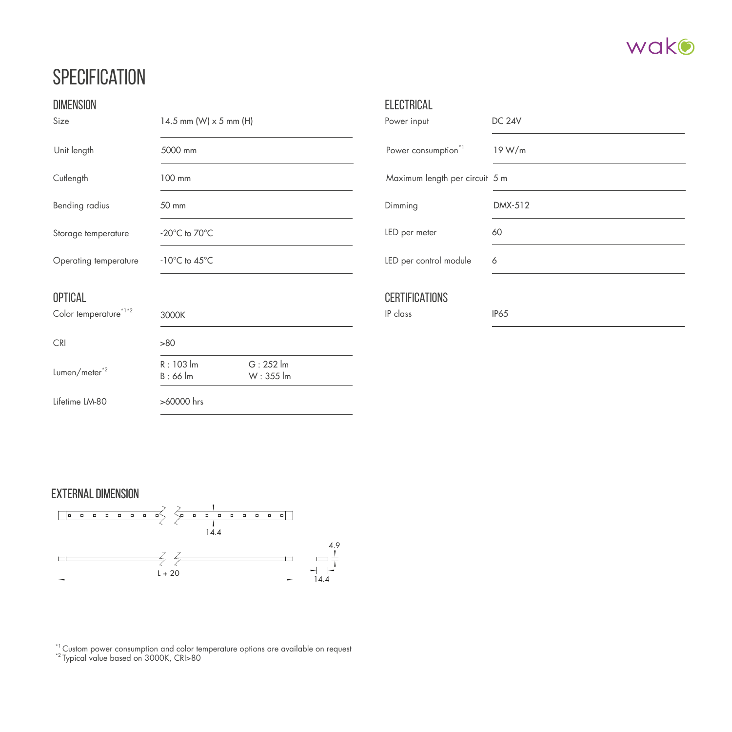

## **SPECIFICATION**

| <b>DIMENSION</b>          |                                           |                                   | <b>ELECTRICAL</b>               |               |
|---------------------------|-------------------------------------------|-----------------------------------|---------------------------------|---------------|
| Size                      | 14.5 mm (W) $\times$ 5 mm (H)             |                                   | Power input                     | <b>DC 24V</b> |
| Unit length               | 5000 mm                                   |                                   | Power consumption <sup>*1</sup> | 19 W/m        |
| Cutlength                 | 100 mm                                    |                                   | Maximum length per circuit 5 m  |               |
| Bending radius            | 50 mm                                     |                                   | Dimming                         | DMX-512       |
| Storage temperature       | $-20^{\circ}$ C to $70^{\circ}$ C         |                                   | LED per meter                   | 60            |
| Operating temperature     | $-10^{\circ}$ C to $45^{\circ}$ C         |                                   | LED per control module          | 6             |
| <b>OPTICAL</b>            |                                           |                                   | <b>CERTIFICATIONS</b>           |               |
| Color temperature*1*2     | 3000K                                     |                                   | IP class                        | <b>IP65</b>   |
| <b>CRI</b>                | >80                                       |                                   |                                 |               |
| Lumen/meter <sup>*2</sup> | $R: 103$ $\text{Im}$<br>$B:66 \text{ lm}$ | $G: 252$ $\text{Im}$<br>W: 355 lm |                                 |               |
| Lifetime LM-80            | >60000 hrs                                |                                   |                                 |               |

#### EXTERNAL DIMENSION



 $^{*1}$  Custom power consumption and color temperature options are available on request  $^{*2}$  Typical value based on 3000K, CRI>80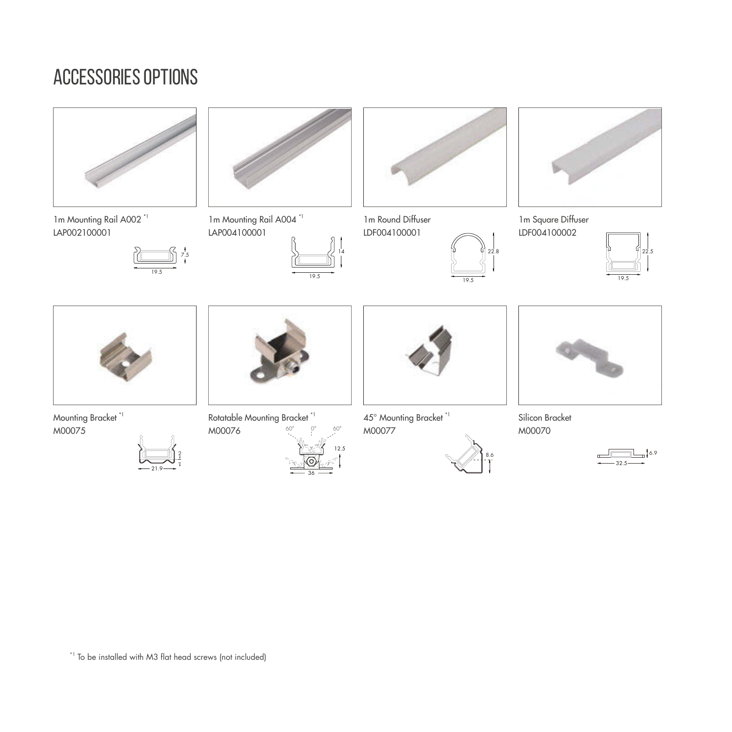## accessories options